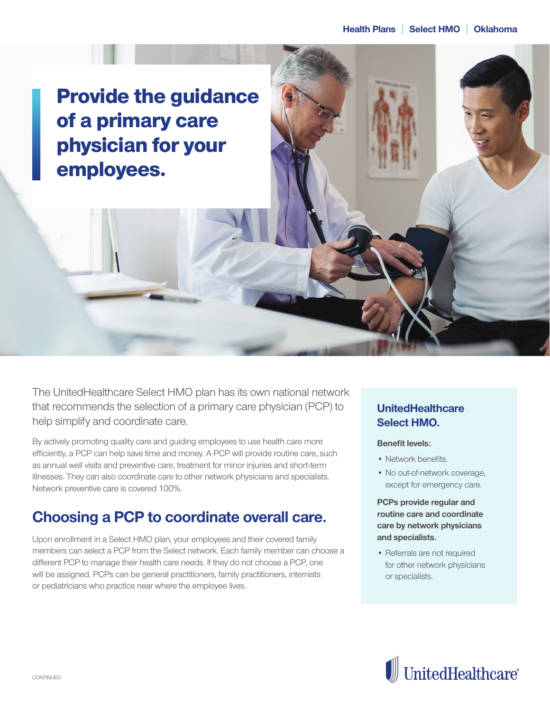Provide the guidance of a primary care physician for your employees.

The UnitedHealthcare Select HMO plan has its own national network that recommends the selection of a primary care physician (PCP) to help simplify and coordinate care.

By actively promoting quality care and guiding employees to use health care more efficiently, a PCP can help save time and money. A PCP will provide routine care, such as annual well visits and preventive care, treatment for minor injuries and short-term illnesses. They can also coordinate care to other network physicians and specialists. Network preventive care is covered 100%.

### **Choosing a PCP to coordinate overall care.**

Upon enrollment in a Select HMO plan, your employees and their covered family members can select a PCP from the Select network. Each family member can choose a different PCP to manage their health care needs. If they do not choose a PCP, one will be assigned. PCPs can be general practitioners, family practitioners, internists or pediatricians who practice near where the employee lives.

#### **UnitedHealthcare Select HMO.**

#### **Benefit levels:**

- Network benefits.
- No out-of-network coverage, except for emergency care.

**PCPs provide regular and routine care and coordinate care by network physicians and specialists.**

• Referrals are not required for other network physicians or specialists.